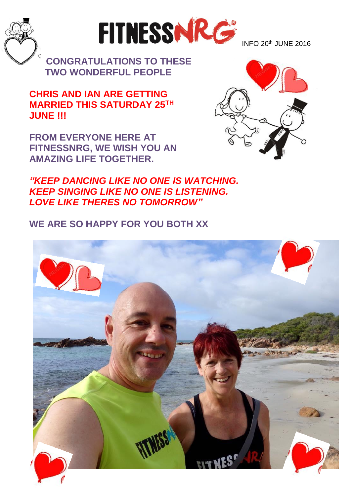



INFO  $20<sup>th</sup>$  JUNE  $2016$ 

**CONGRATULATIONS TO THESE TWO WONDERFUL PEOPLE**

**CHRIS AND IAN ARE GETTING MARRIED THIS SATURDAY 25TH JUNE !!!**

**FROM EVERYONE HERE AT FITNESSNRG, WE WISH YOU AN AMAZING LIFE TOGETHER.** 

*"KEEP DANCING LIKE NO ONE IS WATCHING. KEEP SINGING LIKE NO ONE IS LISTENING. LOVE LIKE THERES NO TOMORROW"*

**WE ARE SO HAPPY FOR YOU BOTH XX**



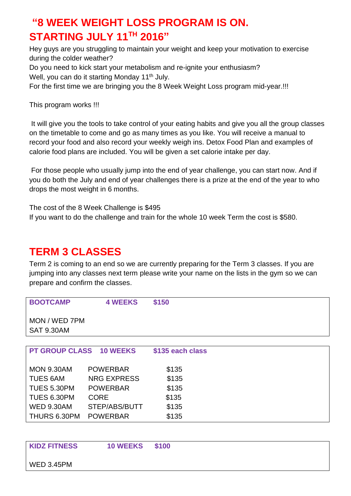## **"8 WEEK WEIGHT LOSS PROGRAM IS ON. STARTING JULY 11TH 2016"**

Hey guys are you struggling to maintain your weight and keep your motivation to exercise during the colder weather?

Do you need to kick start your metabolism and re-ignite your enthusiasm?

Well, you can do it starting Monday 11<sup>th</sup> July.

For the first time we are bringing you the 8 Week Weight Loss program mid-year.!!!

This program works !!!

It will give you the tools to take control of your eating habits and give you all the group classes on the timetable to come and go as many times as you like. You will receive a manual to record your food and also record your weekly weigh ins. Detox Food Plan and examples of calorie food plans are included. You will be given a set calorie intake per day.

For those people who usually jump into the end of year challenge, you can start now. And if you do both the July and end of year challenges there is a prize at the end of the year to who drops the most weight in 6 months.

The cost of the 8 Week Challenge is \$495 If you want to do the challenge and train for the whole 10 week Term the cost is \$580.

## **TERM 3 CLASSES**

Term 2 is coming to an end so we are currently preparing for the Term 3 classes. If you are jumping into any classes next term please write your name on the lists in the gym so we can prepare and confirm the classes.

| <b>BOOTCAMP</b>                | <b>4 WEEKS</b>     | \$150            |  |  |  |
|--------------------------------|--------------------|------------------|--|--|--|
| MON / WED 7PM                  |                    |                  |  |  |  |
| <b>SAT 9.30AM</b>              |                    |                  |  |  |  |
|                                |                    |                  |  |  |  |
| <b>PT GROUP CLASS 10 WEEKS</b> |                    | \$135 each class |  |  |  |
|                                |                    |                  |  |  |  |
| <b>MON 9.30AM</b>              | <b>POWERBAR</b>    | \$135            |  |  |  |
| <b>TUES 6AM</b>                | <b>NRG EXPRESS</b> | \$135            |  |  |  |
| TUES 5.30PM                    | <b>POWERBAR</b>    | \$135            |  |  |  |
| TUES 6.30PM                    | <b>CORE</b>        | \$135            |  |  |  |
| <b>WED 9.30AM</b>              | STEP/ABS/BUTT      | \$135            |  |  |  |
| THURS 6.30PM                   | <b>POWERBAR</b>    | \$135            |  |  |  |
|                                |                    |                  |  |  |  |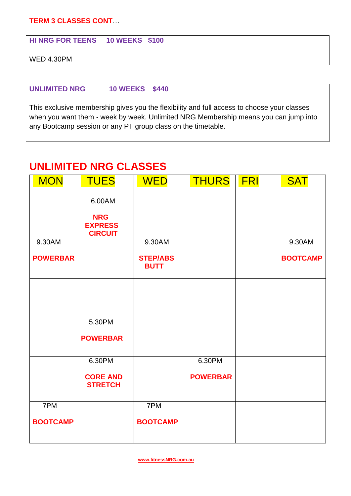**TERM 3 CLASSES CONT**…

**HI NRG FOR TEENS 10 WEEKS \$100**

WED 4.30PM

#### **UNLIMITED NRG 10 WEEKS \$440**

This exclusive membership gives you the flexibility and full access to choose your classes when you want them - week by week. Unlimited NRG Membership means you can jump into any Bootcamp session or any PT group class on the timetable.

#### **UNLIMITED NRG CLASSES**

| <b>MON</b>      | <b>TUES</b>                                    | <b>WED</b>                     | <b>THURS</b>    | FRI | <b>SAT</b>      |
|-----------------|------------------------------------------------|--------------------------------|-----------------|-----|-----------------|
|                 | 6.00AM                                         |                                |                 |     |                 |
|                 | <b>NRG</b><br><b>EXPRESS</b><br><b>CIRCUIT</b> |                                |                 |     |                 |
| $9.30$ AM       |                                                | 9.30AM                         |                 |     | 9.30AM          |
| <b>POWERBAR</b> |                                                | <b>STEP/ABS</b><br><b>BUTT</b> |                 |     | <b>BOOTCAMP</b> |
|                 |                                                |                                |                 |     |                 |
|                 |                                                |                                |                 |     |                 |
|                 | 5.30PM                                         |                                |                 |     |                 |
|                 | <b>POWERBAR</b>                                |                                |                 |     |                 |
|                 | 6.30PM                                         |                                | 6.30PM          |     |                 |
|                 | <b>CORE AND</b><br><b>STRETCH</b>              |                                | <b>POWERBAR</b> |     |                 |
| 7PM             |                                                | 7PM                            |                 |     |                 |
| <b>BOOTCAMP</b> |                                                | <b>BOOTCAMP</b>                |                 |     |                 |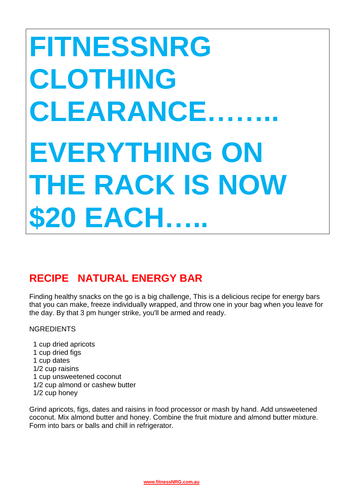# **FITNESSNRG CLOTHING CLEARANCE…….. EVERYTHING ON THE RACK IS NOW \$20 EACH…..**

## **RECIPE NATURAL ENERGY BAR**

Finding healthy snacks on the go is a big challenge, This is a delicious recipe for energy bars that you can make, freeze individually wrapped, and throw one in your bag when you leave for the day. By that 3 pm hunger strike, you'll be armed and ready.

**NGREDIENTS** 

 1 cup dried apricots 1 cup dried figs 1 cup dates 1/2 cup raisins 1 cup unsweetened coconut 1/2 cup almond or cashew butter 1/2 cup honey

Grind apricots, figs, dates and raisins in food processor or mash by hand. Add unsweetened coconut. Mix almond butter and honey. Combine the fruit mixture and almond butter mixture. Form into bars or balls and chill in refrigerator.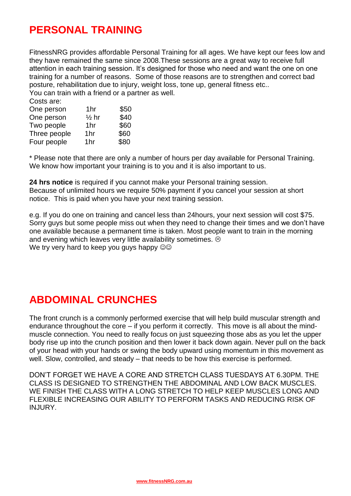#### **PERSONAL TRAINING**

FitnessNRG provides affordable Personal Training for all ages. We have kept our fees low and they have remained the same since 2008.These sessions are a great way to receive full attention in each training session. It's designed for those who need and want the one on one training for a number of reasons. Some of those reasons are to strengthen and correct bad posture, rehabilitation due to injury, weight loss, tone up, general fitness etc.. You can train with a friend or a partner as well.

| Costs are:   |                  |      |
|--------------|------------------|------|
| One person   | 1hr              | \$50 |
| One person   | $\frac{1}{2}$ hr | \$40 |
| Two people   | 1hr              | \$60 |
| Three people | 1hr              | \$60 |
| Four people  | 1hr              | \$80 |

\* Please note that there are only a number of hours per day available for Personal Training. We know how important your training is to you and it is also important to us.

**24 hrs notice** is required if you cannot make your Personal training session. Because of unlimited hours we require 50% payment if you cancel your session at short notice. This is paid when you have your next training session.

e.g. If you do one on training and cancel less than 24hours, your next session will cost \$75. Sorry guys but some people miss out when they need to change their times and we don't have one available because a permanent time is taken. Most people want to train in the morning and evening which leaves very little availability sometimes.  $\circledcirc$ We try very hard to keep you guys happy  $\circledcirc\circ$ 

#### **ABDOMINAL CRUNCHES**

The front crunch is a commonly performed exercise that will help build muscular strength and endurance throughout the core – if you perform it correctly. This move is all about the mindmuscle connection. You need to really focus on just squeezing those abs as you let the upper body rise up into the crunch position and then lower it back down again. Never pull on the back of your head with your hands or swing the body upward using momentum in this movement as well. Slow, controlled, and steady – that needs to be how this exercise is performed.

DON'T FORGET WE HAVE A CORE AND STRETCH CLASS TUESDAYS AT 6.30PM. THE CLASS IS DESIGNED TO STRENGTHEN THE ABDOMINAL AND LOW BACK MUSCLES. WE FINISH THE CLASS WITH A LONG STRETCH TO HELP KEEP MUSCLES LONG AND FLEXIBLE INCREASING OUR ABILITY TO PERFORM TASKS AND REDUCING RISK OF INJURY.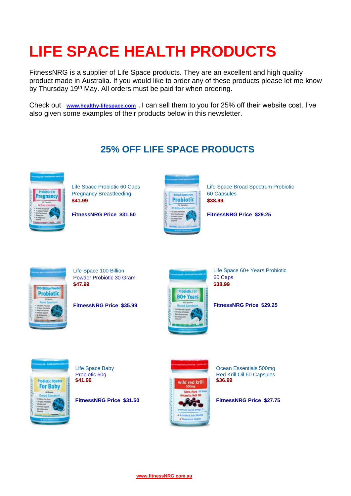## **LIFE SPACE HEALTH PRODUCTS**

FitnessNRG is a supplier of Life Space products. They are an excellent and high quality product made in Australia. If you would like to order any of these products please let me know by Thursday 19<sup>th</sup> May. All orders must be paid for when ordering.

Check out **[www.healthy-lifespace.com](http://www.healthy-lifespace.com/) .** I can sell them to you for 25% off their website cost. I've also given some examples of their products below in this newsletter.

#### **25% OFF LIFE SPACE PRODUCTS**



Pregnancy Breastfeeding **60 Capsules** 60 Capsules **\$41.99 \$41.99 \$41.99** 



[Life Space Probiotic 60 Caps](http://store.evolutionhealth.com.au/life-space-pregnancy-breastfeeding-probiotic-60-caps/) [Life Space Broad Spectrum Probiotic](http://store.evolutionhealth.com.au/broad-spectrum-probiotic-60-capsules/) 

```
FitnessNRG Price $31.50 FitnessNRG Price $29.25
```


Powder Probiotic 30 Gram 60 Caps **\$47.99 \$38.99** 



[Life Space 100 Billion](http://store.evolutionhealth.com.au/life-space-100-billion-powder-probiotic-30-gram/) Life Space 60+ Years Probiotic

**FitnessNRG Price \$35.99 FitnessNRG Price \$29.25**





[Life Space Baby](http://store.evolutionhealth.com.au/life-space-baby-probiotic-60g/) **Constitution Constitution Constitution** Ocean Essentials 500mg<br>
Probiotic 60q<br>
Probiotic 60q Probiotic 60g Red Krill Oil 60 Capsules<br>\$41.99

**FitnessNRG Price \$31.50 FitnessNRG Price \$27.75**